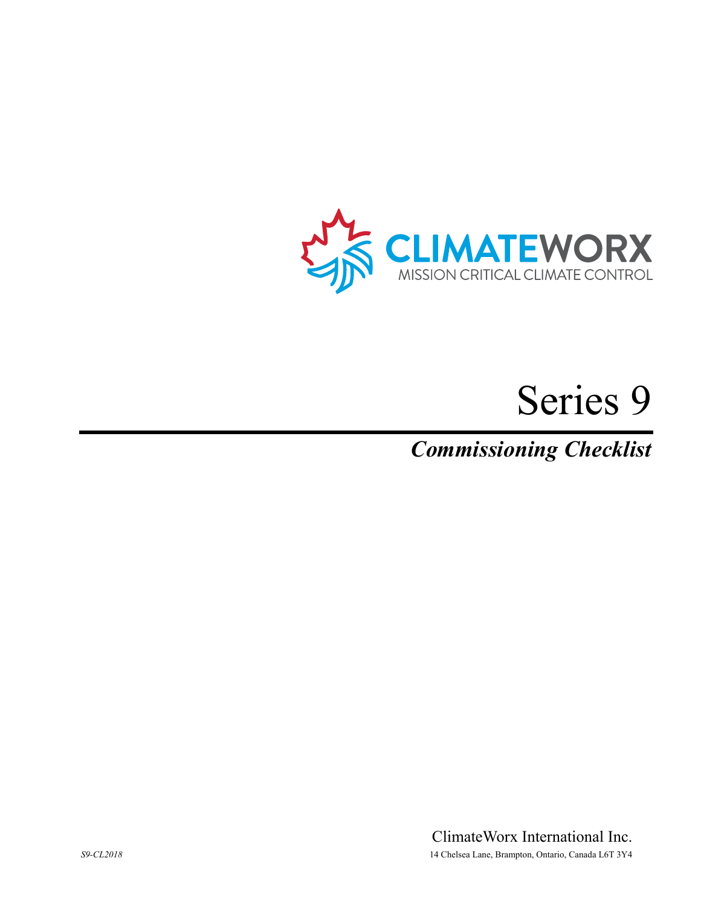

# Series 9

*Commissioning Checklist* 

ClimateWorx International Inc. *S9-CL2018* 14 Chelsea Lane, Brampton, Ontario, Canada L6T 3Y4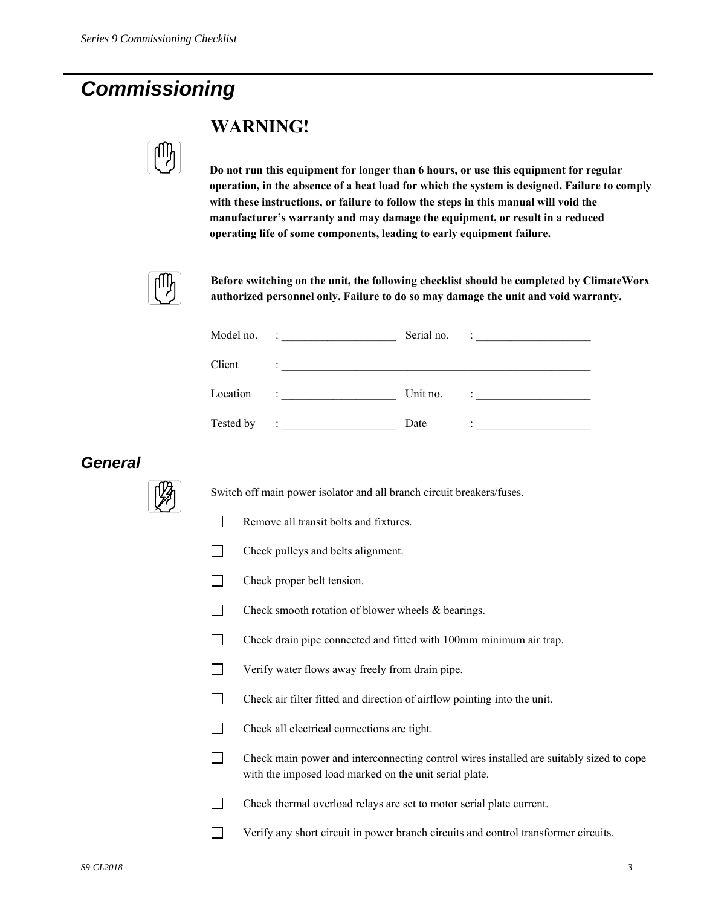# *Commissioning*



### **WARNING!**

**Do not run this equipment for longer than 6 hours, or use this equipment for regular operation, in the absence of a heat load for which the system is designed. Failure to comply with these instructions, or failure to follow the steps in this manual will void the manufacturer's warranty and may damage the equipment, or result in a reduced operating life of some components, leading to early equipment failure.** 



**Before switching on the unit, the following checklist should be completed by ClimateWorx authorized personnel only. Failure to do so may damage the unit and void warranty.** 

| Model no. | <u> 1989 - Jan Stein Stein Stein Stein Stein Stein Stein Stein Stein Stein Stein Stein Stein Stein Stein Stein S</u> | Serial no. | $\begin{tabular}{c} \bf - := & \end{tabular}$                                                                                                                                                                                                                                                                                                                                                                                                                                                   |
|-----------|----------------------------------------------------------------------------------------------------------------------|------------|-------------------------------------------------------------------------------------------------------------------------------------------------------------------------------------------------------------------------------------------------------------------------------------------------------------------------------------------------------------------------------------------------------------------------------------------------------------------------------------------------|
| Client    |                                                                                                                      |            |                                                                                                                                                                                                                                                                                                                                                                                                                                                                                                 |
| Location  |                                                                                                                      | Unit no.   | $\begin{tabular}{l} \multicolumn{2}{c} {\textbf{1}} & \multicolumn{2}{c} {\textbf{2}} & \multicolumn{2}{c} {\textbf{3}} \\ \multicolumn{2}{c} {\textbf{4}} & \multicolumn{2}{c} {\textbf{5}} & \multicolumn{2}{c} {\textbf{6}} \\ \multicolumn{2}{c} {\textbf{5}} & \multicolumn{2}{c} {\textbf{6}} & \multicolumn{2}{c} {\textbf{6}} \\ \multicolumn{2}{c} {\textbf{6}} & \multicolumn{2}{c} {\textbf{6}} & \multicolumn{2}{c} {\textbf{6}} \\ \multicolumn{2}{c} {\textbf{7}} & \multicolumn$ |
| Tested by | Associated the contract of the contract of                                                                           | Date       | <u> 2008 - Jan Barbarat, manala</u>                                                                                                                                                                                                                                                                                                                                                                                                                                                             |

#### *General*



Switch off main power isolator and all branch circuit breakers/fuses.

- Remove all transit bolts and fixtures.
- $\Box$  Check pulleys and belts alignment.
- $\Box$  Check proper belt tension.
- $\Box$  Check smooth rotation of blower wheels & bearings.
- Check drain pipe connected and fitted with 100mm minimum air trap.
- **Verify water flows away freely from drain pipe.**
- Check air filter fitted and direction of airflow pointing into the unit.
- Check all electrical connections are tight.
- $\Box$  Check main power and interconnecting control wires installed are suitably sized to cope with the imposed load marked on the unit serial plate.
- Check thermal overload relays are set to motor serial plate current.
- Verify any short circuit in power branch circuits and control transformer circuits.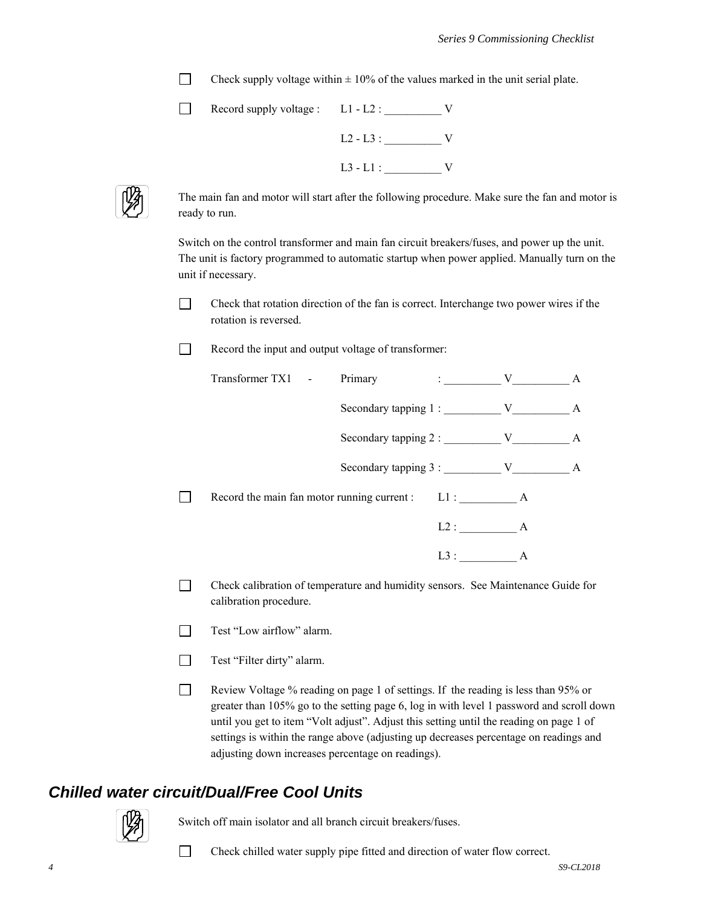Check supply voltage within  $\pm$  10% of the values marked in the unit serial plate.

| Record supply voltage : $L1 - L2$ : |             |  |
|-------------------------------------|-------------|--|
|                                     | $L2 - L3$ : |  |
|                                     | $L3 - L1$ : |  |



The main fan and motor will start after the following procedure. Make sure the fan and motor is ready to run.

Switch on the control transformer and main fan circuit breakers/fuses, and power up the unit. The unit is factory programmed to automatic startup when power applied. Manually turn on the unit if necessary.

- Check that rotation direction of the fan is correct. Interchange two power wires if the rotation is reversed.
- Record the input and output voltage of transformer:

| Transformer TX1 - | Primary                                            | $\mathbf{V}$ : |   | A |
|-------------------|----------------------------------------------------|----------------|---|---|
|                   | Secondary tapping 1: V                             |                |   | A |
|                   | Secondary tapping 2 : V                            |                |   | A |
|                   | $\alpha$ Secondary tapping 3 : $\alpha$ V          |                |   | A |
|                   | Record the main fan motor running current : L1 : A |                |   |   |
|                   |                                                    | L2:            | A |   |
|                   |                                                    | L3:            | A |   |

- Check calibration of temperature and humidity sensors. See Maintenance Guide for calibration procedure.
- Test "Low airflow" alarm.
- Test "Filter dirty" alarm.
- Review Voltage % reading on page 1 of settings. If the reading is less than 95% or greater than 105% go to the setting page 6, log in with level 1 password and scroll down until you get to item "Volt adjust". Adjust this setting until the reading on page 1 of settings is within the range above (adjusting up decreases percentage on readings and adjusting down increases percentage on readings).

#### *Chilled water circuit/Dual/Free Cool Units*



Switch off main isolator and all branch circuit breakers/fuses.

Check chilled water supply pipe fitted and direction of water flow correct.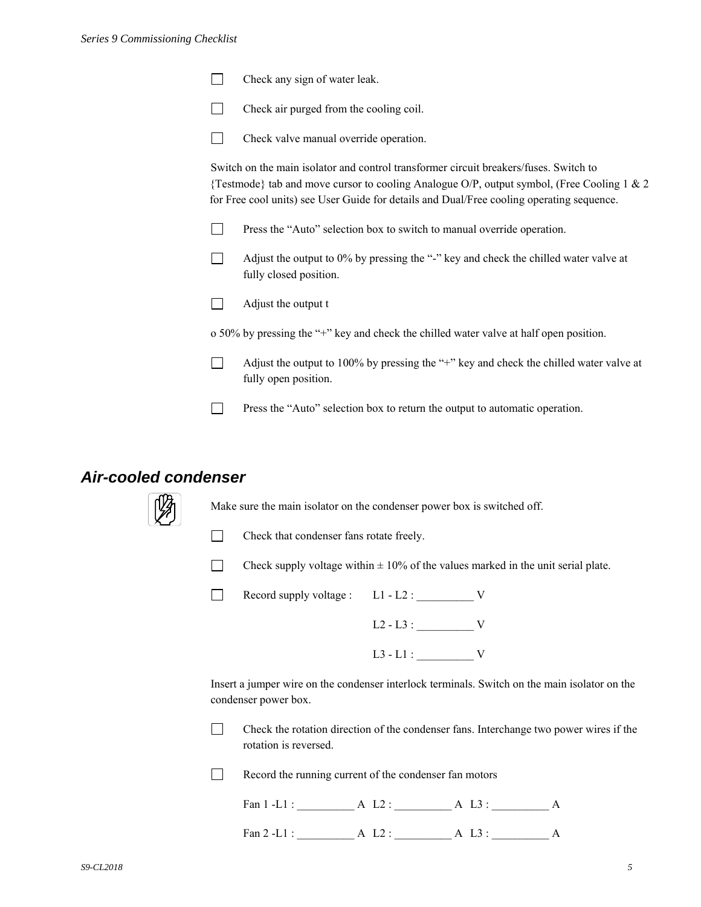|  |  | Check any sign of water leak. |
|--|--|-------------------------------|
|--|--|-------------------------------|



Check valve manual override operation.

Switch on the main isolator and control transformer circuit breakers/fuses. Switch to {Testmode} tab and move cursor to cooling Analogue O/P, output symbol, (Free Cooling 1 & 2 for Free cool units) see User Guide for details and Dual/Free cooling operating sequence.

- **Press the "Auto" selection box to switch to manual override operation.**
- $\Box$  Adjust the output to 0% by pressing the "-" key and check the chilled water valve at fully closed position.
- $\Box$  Adjust the output t

o 50% by pressing the "+" key and check the chilled water valve at half open position.

- Adjust the output to 100% by pressing the "+" key and check the chilled water valve at fully open position.
- Press the "Auto" selection box to return the output to automatic operation.

#### *Air-cooled condenser*



Make sure the main isolator on the condenser power box is switched off.

- 
- Check that condenser fans rotate freely.
- Check supply voltage within  $\pm 10\%$  of the values marked in the unit serial plate.

Record supply voltage :  $L1 - L2$  :  $V$ 

 L2 - L3 : \_\_\_\_\_\_\_\_\_\_ V L3 - L1 : \_\_\_\_\_\_\_\_\_\_ V

Insert a jumper wire on the condenser interlock terminals. Switch on the main isolator on the condenser power box.

 $\Box$  Check the rotation direction of the condenser fans. Interchange two power wires if the rotation is reversed.

Record the running current of the condenser fan motors

| ⇁<br>- |  |  |
|--------|--|--|
|        |  |  |

Fan 2 -L1 : <br>A L2 : <br>A L3 : <br>A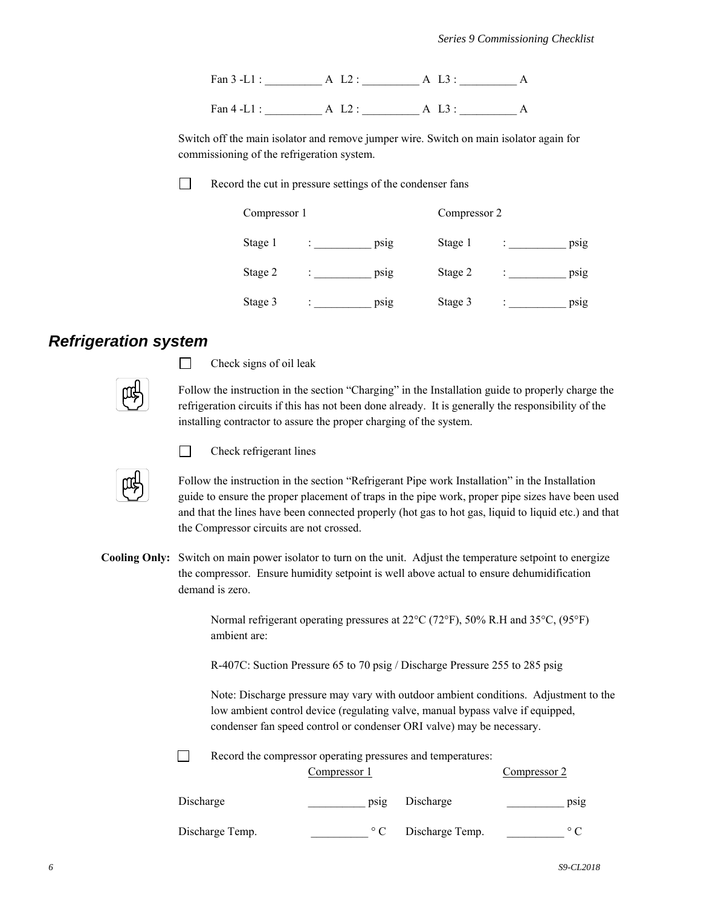Fan 3 -L1 : \_\_\_\_\_\_\_\_\_\_ A L2 : \_\_\_\_\_\_\_\_\_\_ A L3 : \_\_\_\_\_\_\_\_\_\_ A Fan 4 -L1 : \_\_\_\_\_\_\_\_\_\_ A L2 : \_\_\_\_\_\_\_\_\_\_ A L3 : \_\_\_\_\_\_\_\_\_\_ A

Switch off the main isolator and remove jumper wire. Switch on main isolator again for commissioning of the refrigeration system.

 $\perp$ 

Record the cut in pressure settings of the condenser fans

| Compressor 1 |   |      | Compressor 2 |   |      |
|--------------|---|------|--------------|---|------|
| Stage 1      |   | psig | Stage 1      |   | psig |
| Stage 2      | ٠ | psig | Stage 2      | ٠ | psig |
| Stage 3      |   | psig | Stage 3      |   | psig |

#### *Refrigeration system*

 $\Box$  Check signs of oil leak

Follow the instruction in the section "Charging" in the Installation guide to properly charge the refrigeration circuits if this has not been done already. It is generally the responsibility of the installing contractor to assure the proper charging of the system.



 $\Box$  Check refrigerant lines

Follow the instruction in the section "Refrigerant Pipe work Installation" in the Installation guide to ensure the proper placement of traps in the pipe work, proper pipe sizes have been used and that the lines have been connected properly (hot gas to hot gas, liquid to liquid etc.) and that the Compressor circuits are not crossed.

**Cooling Only:** Switch on main power isolator to turn on the unit. Adjust the temperature setpoint to energize the compressor. Ensure humidity setpoint is well above actual to ensure dehumidification demand is zero.

> Normal refrigerant operating pressures at  $22^{\circ}C$  (72°F), 50% R.H and 35 $^{\circ}C$ , (95°F) ambient are:

R-407C: Suction Pressure 65 to 70 psig / Discharge Pressure 255 to 285 psig

 Note: Discharge pressure may vary with outdoor ambient conditions. Adjustment to the low ambient control device (regulating valve, manual bypass valve if equipped, condenser fan speed control or condenser ORI valve) may be necessary.

Record the compressor operating pressures and temperatures:

|                 | Compressor 1 |                 | Compressor 2   |
|-----------------|--------------|-----------------|----------------|
| Discharge       | psig         | Discharge       | psig           |
| Discharge Temp. | $\circ$ C    | Discharge Temp. | $\circ$ $\cap$ |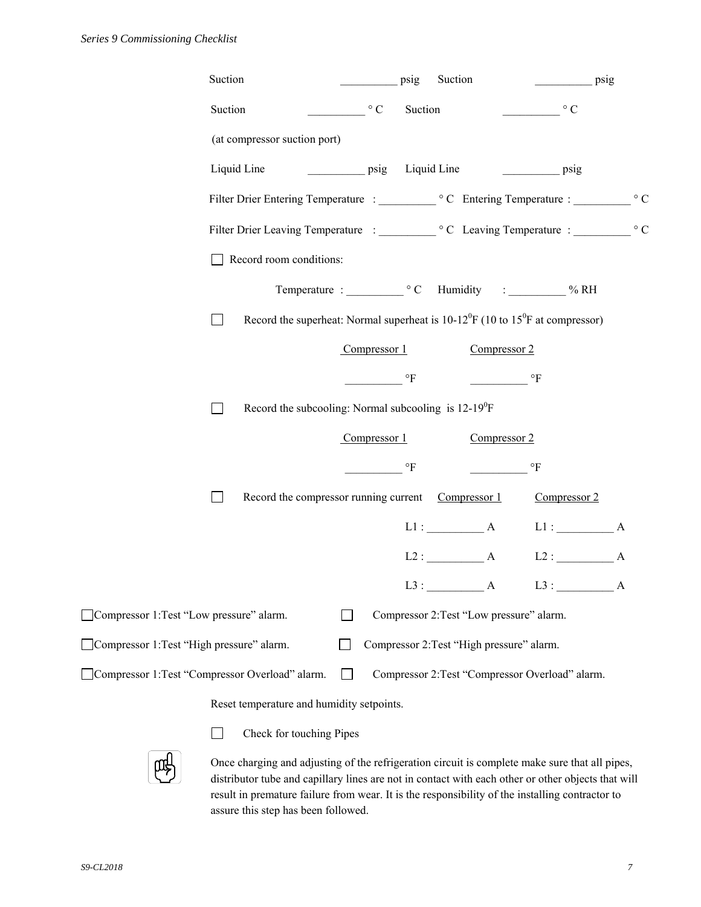| Suction                                                                                                              |              | psig                     | Suction                                   |                                                 | psig      |
|----------------------------------------------------------------------------------------------------------------------|--------------|--------------------------|-------------------------------------------|-------------------------------------------------|-----------|
| Suction                                                                                                              | $\circ$ C    | Suction                  |                                           | $\circ$ C                                       |           |
| (at compressor suction port)                                                                                         |              |                          |                                           |                                                 |           |
| Liquid Line<br>psig                                                                                                  |              | Liquid Line              |                                           | $\overline{psig}$                               |           |
|                                                                                                                      |              |                          |                                           |                                                 | $\circ$ C |
|                                                                                                                      |              |                          |                                           |                                                 | $\circ$ C |
| Record room conditions:                                                                                              |              |                          |                                           |                                                 |           |
| Temperature : C Humidity : ________ % RH                                                                             |              |                          |                                           |                                                 |           |
| Record the superheat: Normal superheat is $10-12^{0}F(10 \text{ to } 15^{0}F \text{ at compressor})$<br>$\mathsf{L}$ |              |                          |                                           |                                                 |           |
|                                                                                                                      | Compressor 1 |                          | Compressor 2                              |                                                 |           |
|                                                                                                                      |              | $\mathrm{^{\circ}F}$     |                                           | $\circ$ F                                       |           |
| Record the subcooling: Normal subcooling is $12-19^{\circ}F$<br>$\mathsf{L}$                                         |              |                          |                                           |                                                 |           |
|                                                                                                                      | Compressor 1 |                          | Compressor 2                              |                                                 |           |
|                                                                                                                      |              | $\,{}^{\circ}\mathrm{F}$ |                                           | $\circ_{\text{F}}$                              |           |
| Record the compressor running current Compressor 1<br>$\Box$                                                         |              |                          |                                           | Compressor 2                                    |           |
|                                                                                                                      |              |                          | L1: A                                     | $L1:$ $A$                                       |           |
|                                                                                                                      |              |                          |                                           | $L2: A$ $L2: A$                                 |           |
|                                                                                                                      |              |                          | $L3:$ $A$                                 | L3: A                                           |           |
| Compressor 1: Test "Low pressure" alarm.                                                                             |              |                          | Compressor 2: Test "Low pressure" alarm.  |                                                 |           |
| Compressor 1: Test "High pressure" alarm.                                                                            |              |                          | Compressor 2: Test "High pressure" alarm. |                                                 |           |
| Compressor 1: Test "Compressor Overload" alarm.                                                                      |              |                          |                                           | Compressor 2: Test "Compressor Overload" alarm. |           |
| Reset temperature and humidity setpoints.                                                                            |              |                          |                                           |                                                 |           |

**Check for touching Pipes** 



Once charging and adjusting of the refrigeration circuit is complete make sure that all pipes, distributor tube and capillary lines are not in contact with each other or other objects that will result in premature failure from wear. It is the responsibility of the installing contractor to assure this step has been followed.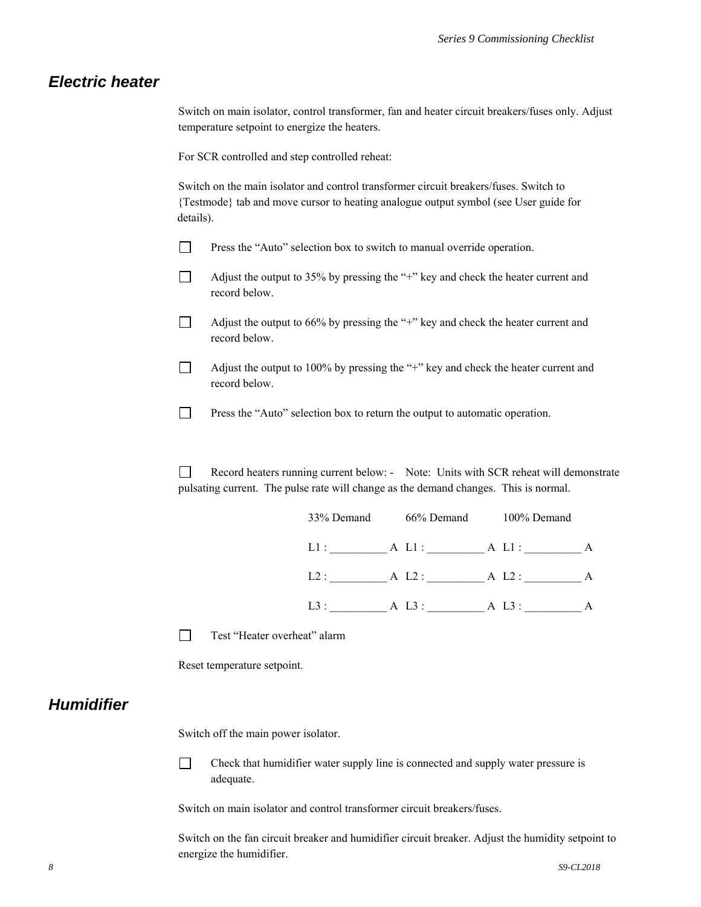#### *Electric heater*

Switch on main isolator, control transformer, fan and heater circuit breakers/fuses only. Adjust temperature setpoint to energize the heaters.

For SCR controlled and step controlled reheat:

Switch on the main isolator and control transformer circuit breakers/fuses. Switch to {Testmode} tab and move cursor to heating analogue output symbol (see User guide for details).

- **Press the "Auto" selection box to switch to manual override operation.**
- $\Box$  Adjust the output to 35% by pressing the "+" key and check the heater current and record below.
- $\Box$  Adjust the output to 66% by pressing the "+" key and check the heater current and record below.
- $\Box$  Adjust the output to 100% by pressing the "+" key and check the heater current and record below.
- **Press the "Auto" selection box to return the output to automatic operation.**

 Record heaters running current below: - Note: Units with SCR reheat will demonstrate pulsating current. The pulse rate will change as the demand changes. This is normal.

| 33% Demand | 66% Demand  | 100% Demand    |   |
|------------|-------------|----------------|---|
| L1:        | A Ll: A Ll: |                | A |
| L2:        | A L2: A L2: | $\overline{A}$ |   |
| $L3$ :     | A L3 :      | A L3 :         | A |

Test "Heater overheat" alarm

Reset temperature setpoint.

#### *Humidifier*

Switch off the main power isolator.

 Check that humidifier water supply line is connected and supply water pressure is adequate.

Switch on main isolator and control transformer circuit breakers/fuses.

Switch on the fan circuit breaker and humidifier circuit breaker. Adjust the humidity setpoint to energize the humidifier.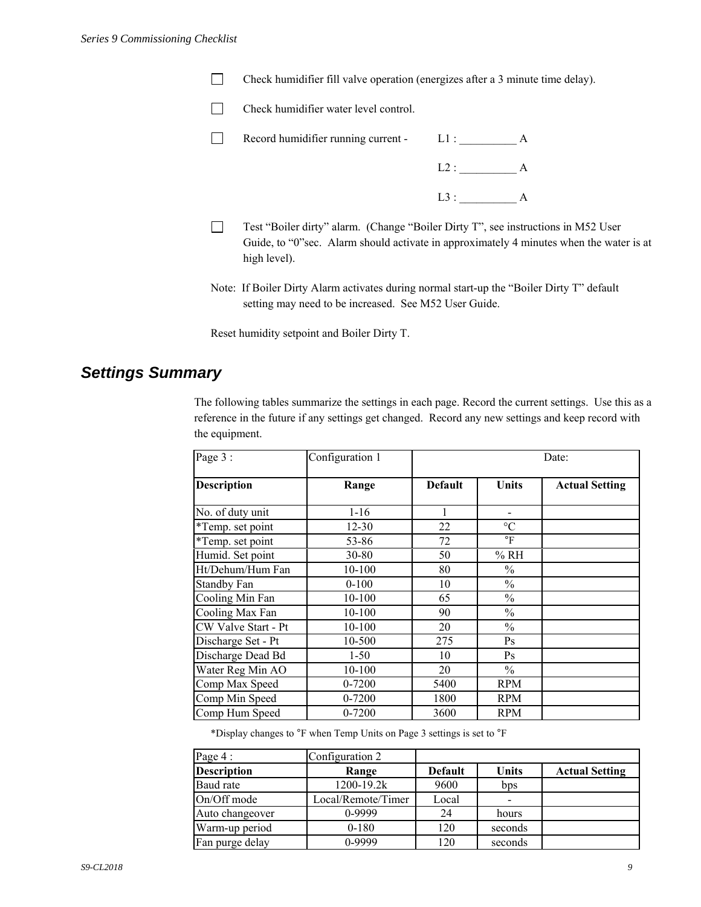- Check humidifier fill valve operation (energizes after a 3 minute time delay).
- T Check humidifier water level control.
- Record humidifier running current L1 : \_\_\_\_\_\_\_\_\_\_\_ A
	- $L2: A$  $L3:$  A
- Test "Boiler dirty" alarm. (Change "Boiler Dirty T", see instructions in M52 User Guide, to "0"sec. Alarm should activate in approximately 4 minutes when the water is at high level).
- Note: If Boiler Dirty Alarm activates during normal start-up the "Boiler Dirty T" default setting may need to be increased. See M52 User Guide.

Reset humidity setpoint and Boiler Dirty T.

#### *Settings Summary*

The following tables summarize the settings in each page. Record the current settings. Use this as a reference in the future if any settings get changed. Record any new settings and keep record with the equipment.

| Page 3 :            | Configuration 1 | Date:          |                 |                       |
|---------------------|-----------------|----------------|-----------------|-----------------------|
| <b>Description</b>  | Range           | <b>Default</b> | <b>Units</b>    | <b>Actual Setting</b> |
| No. of duty unit    | $1 - 16$        |                |                 |                       |
| *Temp. set point    | $12 - 30$       | 22             | $\rm ^{\circ}C$ |                       |
| *Temp. set point    | 53-86           | 72             | $\circ$ F       |                       |
| Humid. Set point    | 30-80           | 50             | %RH             |                       |
| Ht/Dehum/Hum Fan    | 10-100          | 80             | $\%$            |                       |
| <b>Standby Fan</b>  | $0 - 100$       | 10             | $\frac{0}{0}$   |                       |
| Cooling Min Fan     | 10-100          | 65             | $\frac{0}{0}$   |                       |
| Cooling Max Fan     | 10-100          | 90             | $\frac{0}{0}$   |                       |
| CW Valve Start - Pt | 10-100          | 20             | $\frac{0}{0}$   |                       |
| Discharge Set - Pt  | 10-500          | 275            | Ps              |                       |
| Discharge Dead Bd   | $1-50$          | 10             | Ps              |                       |
| Water Reg Min AO    | 10-100          | 20             | $\%$            |                       |
| Comp Max Speed      | 0-7200          | 5400           | <b>RPM</b>      |                       |
| Comp Min Speed      | 0-7200          | 1800           | <b>RPM</b>      |                       |
| Comp Hum Speed      | 0-7200          | 3600           | <b>RPM</b>      |                       |

\*Display changes to °F when Temp Units on Page 3 settings is set to °F

| Page 4 :           | Configuration 2    |                |              |                       |
|--------------------|--------------------|----------------|--------------|-----------------------|
| <b>Description</b> | Range              | <b>Default</b> | <b>Units</b> | <b>Actual Setting</b> |
| Baud rate          | 1200-19.2k         | 9600           | bps          |                       |
| On/Off mode        | Local/Remote/Timer | Local          |              |                       |
| Auto changeover    | 0-9999             | 24             | hours        |                       |
| Warm-up period     | $0 - 180$          | 120            | seconds      |                       |
| Fan purge delay    | 0-9999             | 120            | seconds      |                       |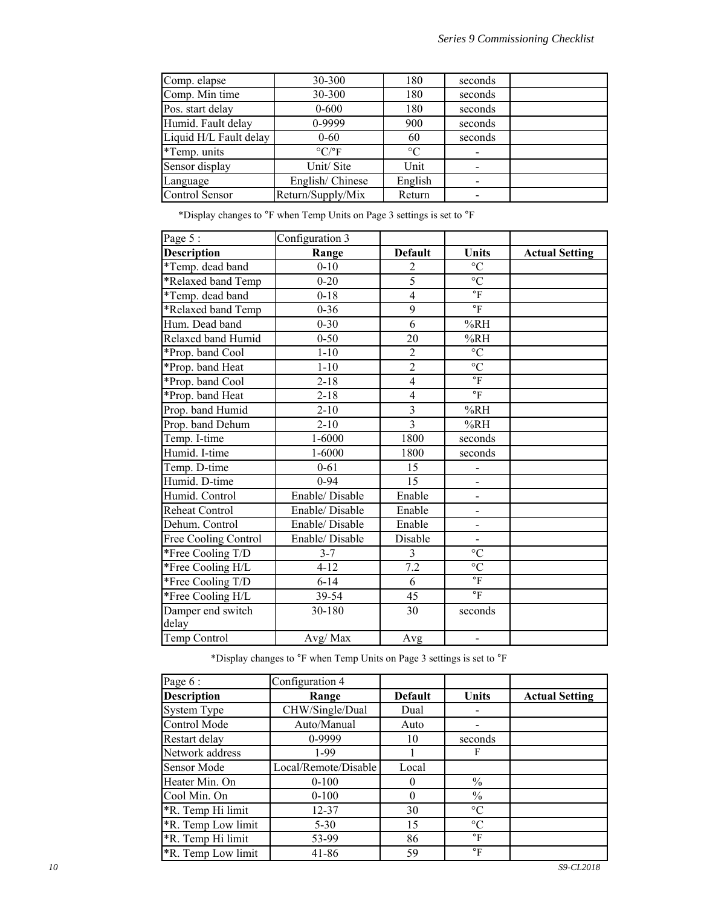| Comp. elapse           | 30-300                        | 180             | seconds |  |
|------------------------|-------------------------------|-----------------|---------|--|
| Comp. Min time         | 30-300                        | 180             | seconds |  |
| Pos. start delay       | $0 - 600$                     | 180             | seconds |  |
| Humid. Fault delay     | 0-9999                        | 900             | seconds |  |
| Liquid H/L Fault delay | $0 - 60$                      | 60              | seconds |  |
| *Temp. units           | $\rm ^{\circ}C/\rm ^{\circ}F$ | $\rm ^{\circ}C$ |         |  |
| Sensor display         | Unit/Site                     | Unit            |         |  |
| Language               | English/Chinese               | English         |         |  |
| Control Sensor         | Return/Supply/Mix             | Return          |         |  |

\*Display changes to °F when Temp Units on Page 3 settings is set to °F

| Page 5:              | Configuration 3 |                         |                          |                       |
|----------------------|-----------------|-------------------------|--------------------------|-----------------------|
| <b>Description</b>   | Range           | <b>Default</b>          | <b>Units</b>             | <b>Actual Setting</b> |
| *Temp. dead band     | $0 - 10$        | 2                       | $\rm ^{\circ}C$          |                       |
| *Relaxed band Temp   | $0 - 20$        | 5                       | $\overline{C}$           |                       |
| *Temp. dead band     | $0 - 18$        | $\overline{4}$          | $\mathrm{^{\circ}F}$     |                       |
| *Relaxed band Temp   | $0 - 36$        | 9                       | $\mathrm{^{\circ}F}$     |                       |
| Hum. Dead band       | $0 - 30$        | 6                       | %RH                      |                       |
| Relaxed band Humid   | $0 - 50$        | 20                      | %RH                      |                       |
| *Prop. band Cool     | $1 - 10$        | $\overline{2}$          | $^{\circ}C$              |                       |
| *Prop. band Heat     | $1 - 10$        | $\overline{2}$          | $\overline{C}$           |                       |
| *Prop. band Cool     | $2 - 18$        | $\overline{4}$          | $\mathrm{^{\circ}F}$     |                       |
| *Prop. band Heat     | $2 - 18$        | $\overline{4}$          | $\circ$ F                |                       |
| Prop. band Humid     | $2 - 10$        | $\overline{\mathbf{3}}$ | %RH                      |                       |
| Prop. band Dehum     | $2 - 10$        | $\overline{3}$          | %RH                      |                       |
| Temp. I-time         | 1-6000          | 1800                    | seconds                  |                       |
| Humid. I-time        | 1-6000          | 1800                    | seconds                  |                       |
| Temp. D-time         | $0 - 61$        | 15                      |                          |                       |
| Humid. D-time        | $0 - 94$        | 15                      | $\overline{\phantom{a}}$ |                       |
| Humid. Control       | Enable/ Disable | Enable                  |                          |                       |
| Reheat Control       | Enable/Disable  | Enable                  | $\overline{\phantom{a}}$ |                       |
| Dehum. Control       | Enable/Disable  | Enable                  | $\frac{1}{2}$            |                       |
| Free Cooling Control | Enable/ Disable | Disable                 | $\overline{a}$           |                       |
| *Free Cooling T/D    | $3 - 7$         | 3                       | $\rm ^{\circ}C$          |                       |
| *Free Cooling H/L    | $4 - 12$        | 7.2                     | $\rm ^{\circ}C$          |                       |
| *Free Cooling T/D    | $6 - 14$        | 6                       | $\circ_{\mathrm{F}}$     |                       |
| *Free Cooling H/L    | 39-54           | 45                      | $\circ$ F                |                       |
| Damper end switch    | 30-180          | 30                      | seconds                  |                       |
| delay                |                 |                         |                          |                       |
| Temp Control         | Avg/Max         | Avg                     | $\overline{a}$           |                       |

\*Display changes to °F when Temp Units on Page 3 settings is set to °F

| Page 6:                   | Configuration 4      |                |                 |                       |
|---------------------------|----------------------|----------------|-----------------|-----------------------|
| <b>Description</b>        | Range                | <b>Default</b> | <b>Units</b>    | <b>Actual Setting</b> |
| <b>System Type</b>        | CHW/Single/Dual      | Dual           |                 |                       |
| Control Mode              | Auto/Manual          | Auto           |                 |                       |
| Restart delay             | 0-9999               | 10             | seconds         |                       |
| Network address           | $1-99$               |                | F               |                       |
| Sensor Mode               | Local/Remote/Disable | Local          |                 |                       |
| Heater Min. On            | $0 - 100$            | 0              | $\frac{0}{0}$   |                       |
| Cool Min. On              | $0-100$              | $\theta$       | $\frac{0}{0}$   |                       |
| *R. Temp Hi limit         | $12 - 37$            | 30             | $\rm ^{\circ}C$ |                       |
| *R. Temp Low limit        | $5 - 30$             | 15             | $\rm ^{\circ}C$ |                       |
| *R. Temp Hi limit         | 53-99                | 86             | $\circ$ F       |                       |
| <b>*R.</b> Temp Low limit | 41-86                | 59             | $\circ$ F       |                       |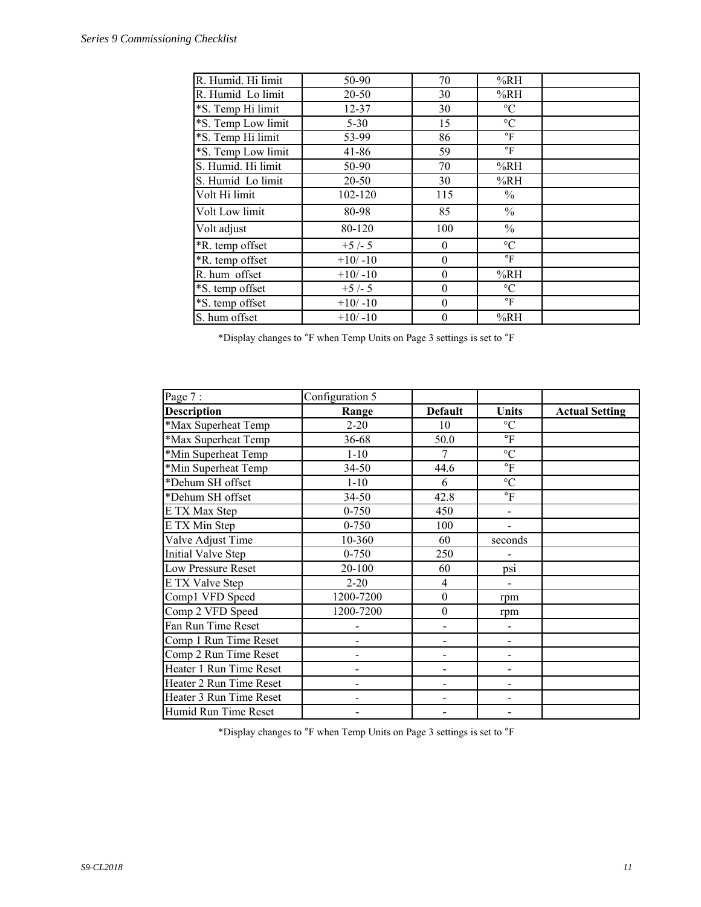| R. Humid. Hi limit | 50-90     | 70             | %RH                       |  |
|--------------------|-----------|----------------|---------------------------|--|
| R. Humid Lo limit  | 20-50     | 30             | %RH                       |  |
| *S. Temp Hi limit  | $12 - 37$ | 30             | $\rm ^{\circ}C$           |  |
| *S. Temp Low limit | $5 - 30$  | 15             | $\rm ^{\circ}C$           |  |
| *S. Temp Hi limit  | 53-99     | 86             | $\circ$ F                 |  |
| *S. Temp Low limit | $41 - 86$ | 59             | $\circ$ F                 |  |
| S. Humid. Hi limit | 50-90     | 70             | %RH                       |  |
| S. Humid Lo limit  | 20-50     | 30             | %RH                       |  |
| Volt Hi limit      | 102-120   | 115            | $\%$                      |  |
| Volt Low limit     | 80-98     | 85             | $\frac{0}{0}$             |  |
| Volt adjust        | 80-120    | 100            | $\frac{0}{0}$             |  |
| *R. temp offset    | $+5/-5$   | $\theta$       | $\rm ^{\circ}C$           |  |
| *R. temp offset    | $+10/-10$ | $\theta$       | $\rm ^{\circ}F$           |  |
| R. hum offset      | $+10/-10$ | $\theta$       | %RH                       |  |
| *S. temp offset    | $+5/-5$   | $\theta$       | $\rm ^{\circ}C$           |  |
| *S. temp offset    | $+10/-10$ | $\theta$       | $\mathrm{P}_{\mathrm{F}}$ |  |
| S. hum offset      | $+10/-10$ | $\overline{0}$ | %RH                       |  |

\*Display changes to °F when Temp Units on Page 3 settings is set to °F

| Page 7:                 | Configuration 5 |                          |                              |                       |
|-------------------------|-----------------|--------------------------|------------------------------|-----------------------|
| <b>Description</b>      | Range           | <b>Default</b>           | Units                        | <b>Actual Setting</b> |
| *Max Superheat Temp     | $2 - 20$        | 10                       | $\rm ^{\circ}C$              |                       |
| *Max Superheat Temp     | 36-68           | 50.0                     | $\mathrm{P}$                 |                       |
| *Min Superheat Temp     | $1 - 10$        | 7                        | $\rm ^{\circ}C$              |                       |
| *Min Superheat Temp     | 34-50           | 44.6                     | $\mathrm{^{\circ}F}$         |                       |
| *Dehum SH offset        | $1 - 10$        | 6                        | $\rm ^{\circ}C$              |                       |
| *Dehum SH offset        | $34 - 50$       | 42.8                     | $\mathrm{^{\circ}F}$         |                       |
| E TX Max Step           | $0 - 750$       | 450                      |                              |                       |
| E TX Min Step           | $0 - 750$       | 100                      |                              |                       |
| Valve Adjust Time       | 10-360          | 60                       | seconds                      |                       |
| Initial Valve Step      | $0 - 750$       | 250                      |                              |                       |
| Low Pressure Reset      | 20-100          | 60                       | ps1                          |                       |
| E TX Valve Step         | $2 - 20$        | 4                        |                              |                       |
| Comp1 VFD Speed         | 1200-7200       | $\boldsymbol{0}$         | rpm                          |                       |
| Comp 2 VFD Speed        | 1200-7200       | $\boldsymbol{0}$         | rpm                          |                       |
| Fan Run Time Reset      |                 | $\overline{a}$           |                              |                       |
| Comp 1 Run Time Reset   |                 |                          |                              |                       |
| Comp 2 Run Time Reset   |                 |                          |                              |                       |
| Heater 1 Run Time Reset |                 | $\overline{\phantom{0}}$ | $\qquad \qquad \blacksquare$ |                       |
| Heater 2 Run Time Reset |                 | $\overline{\phantom{0}}$ | $\overline{a}$               |                       |
| Heater 3 Run Time Reset |                 |                          |                              |                       |
| Humid Run Time Reset    |                 |                          |                              |                       |

\*Display changes to °F when Temp Units on Page 3 settings is set to °F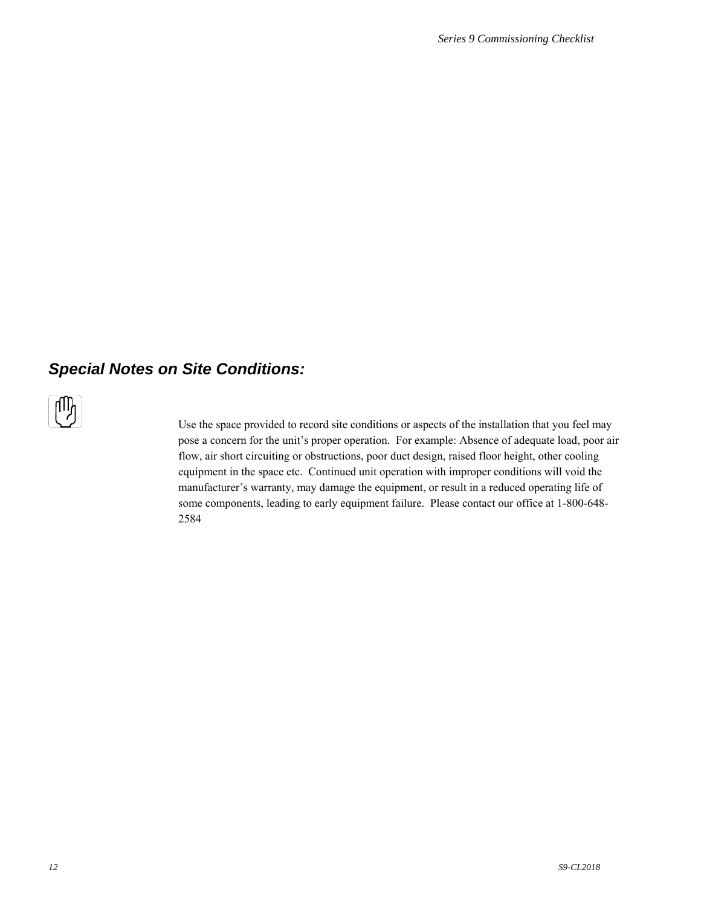## *Special Notes on Site Conditions:*



Use the space provided to record site conditions or aspects of the installation that you feel may pose a concern for the unit's proper operation. For example: Absence of adequate load, poor air flow, air short circuiting or obstructions, poor duct design, raised floor height, other cooling equipment in the space etc. Continued unit operation with improper conditions will void the manufacturer's warranty, may damage the equipment, or result in a reduced operating life of some components, leading to early equipment failure. Please contact our office at 1-800-648- 2584